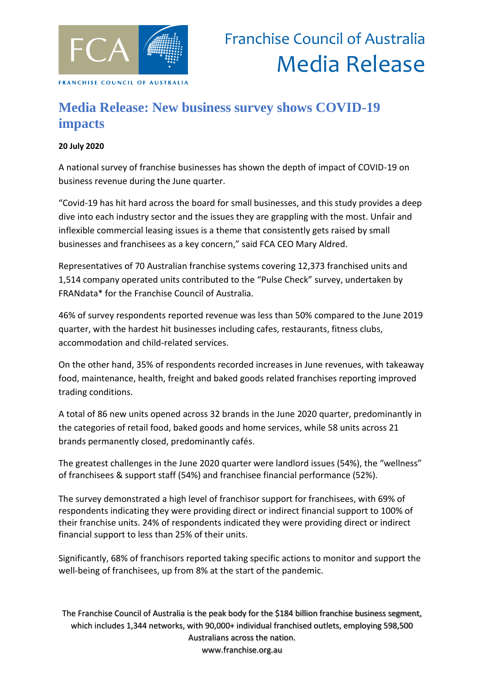

## **Media Release: New business survey shows COVID-19 impacts**

## **20 July 2020**

A national survey of franchise businesses has shown the depth of impact of COVID-19 on business revenue during the June quarter.

"Covid-19 has hit hard across the board for small businesses, and this study provides a deep dive into each industry sector and the issues they are grappling with the most. Unfair and inflexible commercial leasing issues is a theme that consistently gets raised by small businesses and franchisees as a key concern," said FCA CEO Mary Aldred.

Representatives of 70 Australian franchise systems covering 12,373 franchised units and 1,514 company operated units contributed to the "Pulse Check" survey, undertaken by FRANdata\* for the Franchise Council of Australia.

46% of survey respondents reported revenue was less than 50% compared to the June 2019 quarter, with the hardest hit businesses including cafes, restaurants, fitness clubs, accommodation and child-related services.

On the other hand, 35% of respondents recorded increases in June revenues, with takeaway food, maintenance, health, freight and baked goods related franchises reporting improved trading conditions.

A total of 86 new units opened across 32 brands in the June 2020 quarter, predominantly in the categories of retail food, baked goods and home services, while 58 units across 21 brands permanently closed, predominantly cafés.

The greatest challenges in the June 2020 quarter were landlord issues (54%), the "wellness" of franchisees & support staff (54%) and franchisee financial performance (52%).

The survey demonstrated a high level of franchisor support for franchisees, with 69% of respondents indicating they were providing direct or indirect financial support to 100% of their franchise units. 24% of respondents indicated they were providing direct or indirect financial support to less than 25% of their units.

Significantly, 68% of franchisors reported taking specific actions to monitor and support the well-being of franchisees, up from 8% at the start of the pandemic.

The Franchise Council of Australia is the peak body for the \$184 billion franchise business segment, which includes 1,344 networks, with 90,000+ individual franchised outlets, employing 598,500 Australians across the nation. www.franchise.org.au